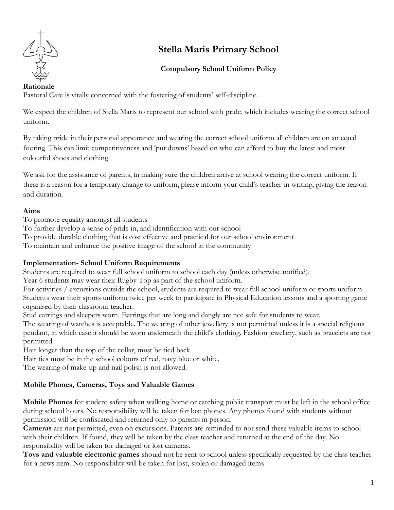

# **Stella Maris Primary School**

# **Compulsory School Uniform Policy**

### **Rationale**

Pastoral Care is vitally concerned with the fostering of students' self-discipline.

We expect the children of Stella Maris to represent our school with pride, which includes wearing the correct school uniform.

By taking pride in their personal appearance and wearing the correct school uniform all children are on an equal footing. This can limit competitiveness and 'put downs' based on who can afford to buy the latest and most colourful shoes and clothing.

We ask for the assistance of parents, in making sure the children arrive at school wearing the correct uniform. If there is a reason for a temporary change to uniform, please inform your child's teacher in writing, giving the reason and duration.

## **Aims**

To promote equality amongst all students

- To further develop a sense of pride in, and identification with our school
- To provide durable clothing that is cost effective and practical for our school environment

To maintain and enhance the positive image of the school in the community

## **Implementation- School Uniform Requirements**

Students are required to wear full school uniform to school each day (unless otherwise notified).

Year 6 students may wear their Rugby Top as part of the school uniform.

For activities / excursions outside the school, students are required to wear full school uniform or sports uniform. Students wear their sports uniform twice per week to participate in Physical Education lessons and a sporting game organised by their classroom teacher.

Stud earrings and sleepers worn. Earrings that are long and dangly are not safe for students to wear.

The wearing of watches is acceptable. The wearing of other jewellery is not permitted unless it is a special religious pendant, in which case it should be worn underneath the child's clothing. Fashion jewellery, such as bracelets are not permitted.

Hair longer than the top of the collar, must be tied back.

Hair ties must be in the school colours of red, navy blue or white.

The wearing of make-up and nail polish is not allowed.

# **Mobile Phones, Cameras, Toys and Valuable Games**

**Mobile Phones** for student safety when walking home or catching public transport must be left in the school office during school hours. No responsibility will be taken for lost phones. Any phones found with students without permission will be confiscated and returned only to parents in person.

**Cameras** are not permitted, even on excursions. Parents are reminded to not send these valuable items to school with their children. If found, they will be taken by the class teacher and returned at the end of the day. No responsibility will be taken for damaged or lost cameras.

**Toys and valuable electronic games** should not be sent to school unless specifically requested by the class teacher for a news item. No responsibility will be taken for lost, stolen or damaged items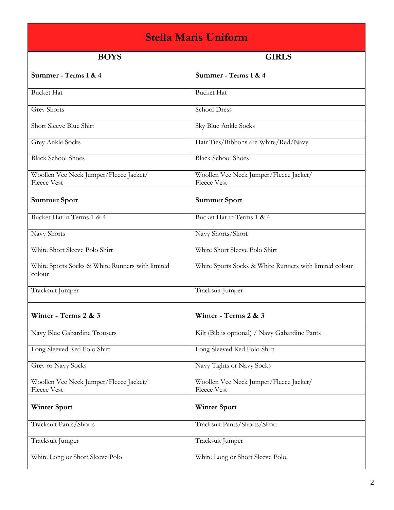| <b>Stella Maris Uniform</b>                                  |                                                              |  |  |  |  |
|--------------------------------------------------------------|--------------------------------------------------------------|--|--|--|--|
| <b>BOYS</b>                                                  | <b>GIRLS</b>                                                 |  |  |  |  |
| Summer - Terms 1 & 4                                         | Summer - Terms 1 & 4                                         |  |  |  |  |
| <b>Bucket Hat</b>                                            | <b>Bucket Hat</b>                                            |  |  |  |  |
| Grey Shorts                                                  | <b>School Dress</b>                                          |  |  |  |  |
| Short Sleeve Blue Shirt                                      | Sky Blue Ankle Socks                                         |  |  |  |  |
| Grey Ankle Socks                                             | Hair Ties/Ribbons are White/Red/Navy                         |  |  |  |  |
| <b>Black School Shoes</b>                                    | <b>Black School Shoes</b>                                    |  |  |  |  |
| Woollen Vee Neck Jumper/Fleece Jacket/<br><b>Fleece Vest</b> | Woollen Vee Neck Jumper/Fleece Jacket/<br><b>Fleece Vest</b> |  |  |  |  |
| <b>Summer Sport</b>                                          | <b>Summer Sport</b>                                          |  |  |  |  |
| Bucket Hat in Terms 1 & 4                                    | Bucket Hat in Terms 1 & 4                                    |  |  |  |  |
| Navy Shorts                                                  | Navy Shorts/Skort                                            |  |  |  |  |
| White Short Sleeve Polo Shirt                                | White Short Sleeve Polo Shirt                                |  |  |  |  |
| White Sports Socks & White Runners with limited<br>colour    | White Sports Socks & White Runners with limited colour       |  |  |  |  |
| Tracksuit Jumper                                             | Tracksuit Jumper                                             |  |  |  |  |
| Winter - Terms 2 & 3                                         | Winter - Terms 2 & 3                                         |  |  |  |  |
| Navy Blue Gabardine Trousers                                 | Kilt (Bib is optional) / Navy Gabardine Pants                |  |  |  |  |
| Long Sleeved Red Polo Shirt                                  | Long Sleeved Red Polo Shirt                                  |  |  |  |  |
| Grey or Navy Socks                                           | Navy Tights or Navy Socks                                    |  |  |  |  |
| Woollen Vee Neck Jumper/Fleece Jacket/<br>Fleece Vest        | Woollen Vee Neck Jumper/Fleece Jacket/<br>Fleece Vest        |  |  |  |  |
| <b>Winter Sport</b>                                          | <b>Winter Sport</b>                                          |  |  |  |  |
| Tracksuit Pants/Shorts                                       | Tracksuit Pants/Shorts/Skort                                 |  |  |  |  |
| Tracksuit Jumper                                             | Tracksuit Jumper                                             |  |  |  |  |
| White Long or Short Sleeve Polo                              | White Long or Short Sleeve Polo                              |  |  |  |  |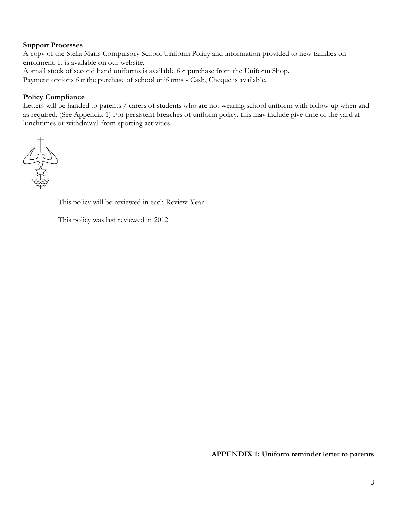#### **Support Processes**

A copy of the Stella Maris Compulsory School Uniform Policy and information provided to new families on enrolment. It is available on our website.

A small stock of second hand uniforms is available for purchase from the Uniform Shop.

Payment options for the purchase of school uniforms - Cash, Cheque is available.

#### **Policy Compliance**

Letters will be handed to parents / carers of students who are not wearing school uniform with follow up when and as required. (See Appendix 1) For persistent breaches of uniform policy, this may include give time of the yard at lunchtimes or withdrawal from sporting activities.



This policy will be reviewed in each Review Year

This policy was last reviewed in 2012